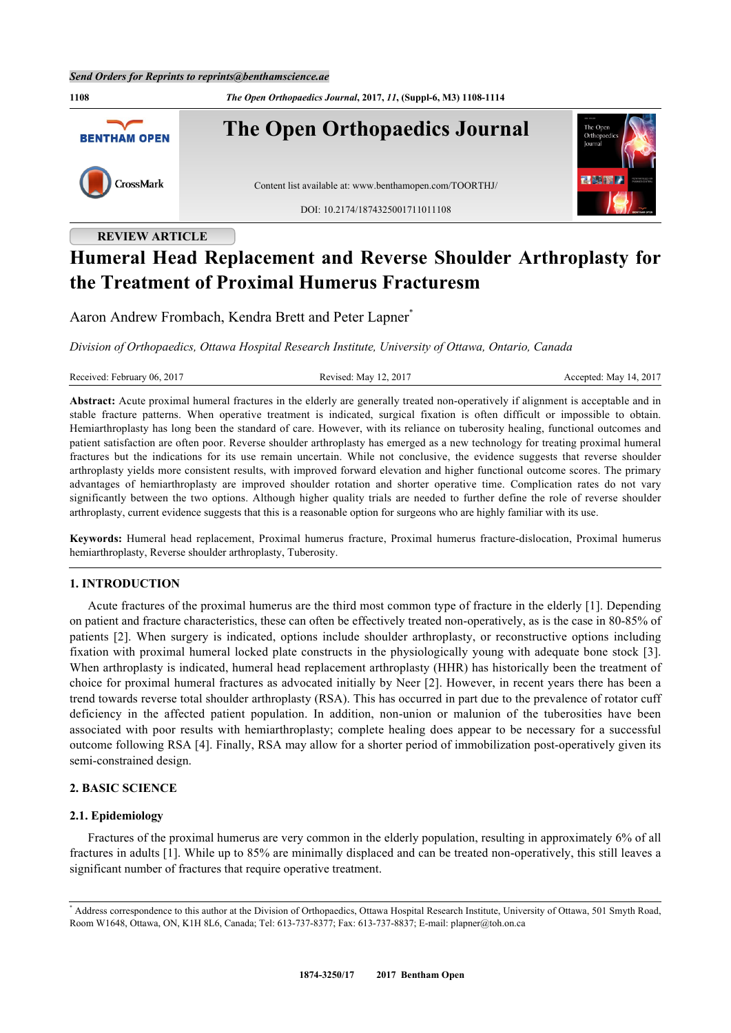**1108** *The Open Orthopaedics Journal***, 2017,** *11***, (Suppl-6, M3) 1108-1114 The Open Orthopaedics Journal BENTHAM OPEN** CrossMark Content list available at: [www.benthamopen.com/TOORTHJ/](http://www.benthamopen.com/TOORTHJ/) DOI: [10.2174/1874325001711011108](http://dx.doi.org/10.2174/1874325001711011108)

# **REVIEW ARTICLE**

# **Humeral Head Replacement and Reverse Shoulder Arthroplasty for the Treatment of Proximal Humerus Fracturesm**

Aaron Andrew Frombach, Kendra Brett and Peter Lapner<sup>[\\*](#page-0-0)</sup>

*Division of Orthopaedics, Ottawa Hospital Research Institute, University of Ottawa, Ontario, Canada*

Received: February 06, 2017 Revised: May 12, 2017 Revised: May 14, 2017 Accepted: May 14, 2017

**Abstract:** Acute proximal humeral fractures in the elderly are generally treated non-operatively if alignment is acceptable and in stable fracture patterns. When operative treatment is indicated, surgical fixation is often difficult or impossible to obtain. Hemiarthroplasty has long been the standard of care. However, with its reliance on tuberosity healing, functional outcomes and patient satisfaction are often poor. Reverse shoulder arthroplasty has emerged as a new technology for treating proximal humeral fractures but the indications for its use remain uncertain. While not conclusive, the evidence suggests that reverse shoulder arthroplasty yields more consistent results, with improved forward elevation and higher functional outcome scores. The primary advantages of hemiarthroplasty are improved shoulder rotation and shorter operative time. Complication rates do not vary significantly between the two options. Although higher quality trials are needed to further define the role of reverse shoulder arthroplasty, current evidence suggests that this is a reasonable option for surgeons who are highly familiar with its use.

**Keywords:** Humeral head replacement, Proximal humerus fracture, Proximal humerus fracture-dislocation, Proximal humerus hemiarthroplasty, Reverse shoulder arthroplasty, Tuberosity.

# **1. INTRODUCTION**

Acute fractures of the proximal humerus are the third most common type of fracture in the elderly [\[1](#page-5-0)]. Depending on patient and fracture characteristics, these can often be effectively treated non-operatively, as is the case in 80-85% of patients[[2](#page-6-0)]. When surgery is indicated, options include shoulder arthroplasty, or reconstructive options including fixation with proximal humeral locked plate constructs in the physiologically young with adequate bone stock [[3\]](#page-6-1). When arthroplasty is indicated, humeral head replacement arthroplasty (HHR) has historically been the treatment of choice for proximal humeral fractures as advocated initially by Neer [\[2](#page-6-0)]. However, in recent years there has been a trend towards reverse total shoulder arthroplasty (RSA). This has occurred in part due to the prevalence of rotator cuff deficiency in the affected patient population. In addition, non-union or malunion of the tuberosities have been associated with poor results with hemiarthroplasty; complete healing does appear to be necessary for a successful outcome following RSA [\[4](#page-6-2)]. Finally, RSA may allow for a shorter period of immobilization post-operatively given its semi-constrained design.

# **2. BASIC SCIENCE**

### **2.1. Epidemiology**

Fractures of the proximal humerus are very common in the elderly population, resulting in approximately 6% of all fractures in adults [\[1](#page-5-0)]. While up to 85% are minimally displaced and can be treated non-operatively, this still leaves a significant number of fractures that require operative treatment.

<span id="page-0-0"></span><sup>\*</sup> Address correspondence to this author at the Division of Orthopaedics, Ottawa Hospital Research Institute, University of Ottawa, 501 Smyth Road, Room W1648, Ottawa, ON, K1H 8L6, Canada; Tel: 613-737-8377; Fax: 613-737-8837; E-mail: [plapner@toh.on.ca](mailto:plapner@toh.on.ca)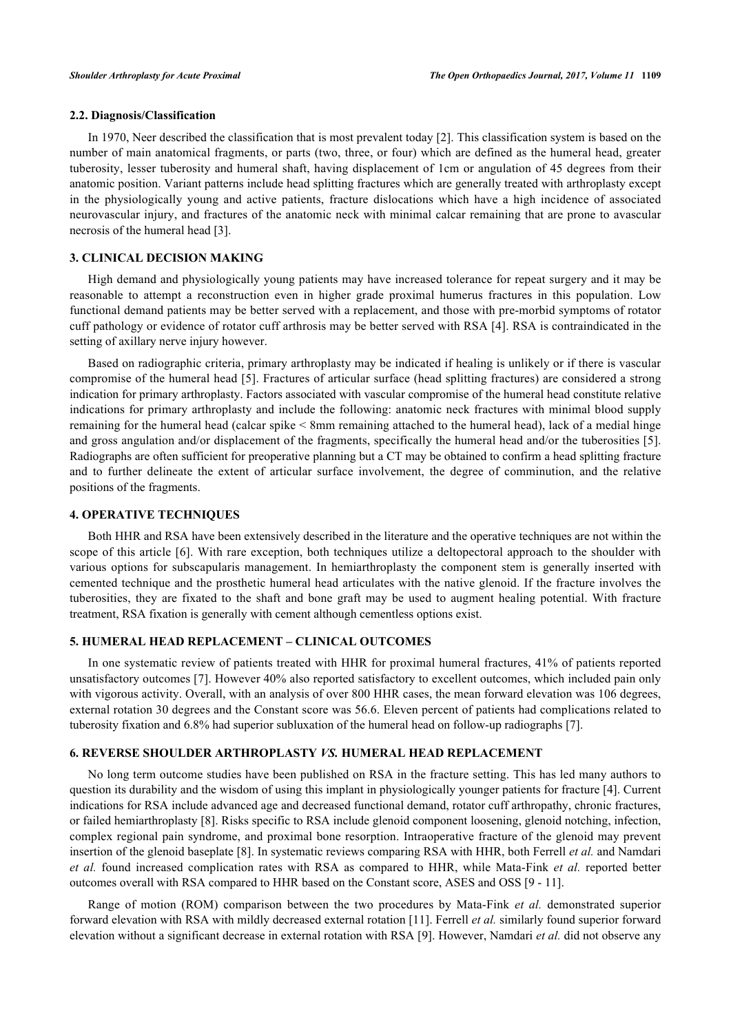# **2.2. Diagnosis/Classification**

In 1970, Neer described the classification that is most prevalent today [[2\]](#page-6-0). This classification system is based on the number of main anatomical fragments, or parts (two, three, or four) which are defined as the humeral head, greater tuberosity, lesser tuberosity and humeral shaft, having displacement of 1cm or angulation of 45 degrees from their anatomic position. Variant patterns include head splitting fractures which are generally treated with arthroplasty except in the physiologically young and active patients, fracture dislocations which have a high incidence of associated neurovascular injury, and fractures of the anatomic neck with minimal calcar remaining that are prone to avascular necrosis of the humeral head [\[3](#page-6-1)].

# **3. CLINICAL DECISION MAKING**

High demand and physiologically young patients may have increased tolerance for repeat surgery and it may be reasonable to attempt a reconstruction even in higher grade proximal humerus fractures in this population. Low functional demand patients may be better served with a replacement, and those with pre-morbid symptoms of rotator cuff pathology or evidence of rotator cuff arthrosis may be better served with RSA [[4\]](#page-6-2). RSA is contraindicated in the setting of axillary nerve injury however.

Based on radiographic criteria, primary arthroplasty may be indicated if healing is unlikely or if there is vascular compromise of the humeral head [[5](#page-6-3)]. Fractures of articular surface (head splitting fractures) are considered a strong indication for primary arthroplasty. Factors associated with vascular compromise of the humeral head constitute relative indications for primary arthroplasty and include the following: anatomic neck fractures with minimal blood supply remaining for the humeral head (calcar spike < 8mm remaining attached to the humeral head), lack of a medial hinge and gross angulation and/or displacement of the fragments, specifically the humeral head and/or the tuberosities [[5\]](#page-6-3). Radiographs are often sufficient for preoperative planning but a CT may be obtained to confirm a head splitting fracture and to further delineate the extent of articular surface involvement, the degree of comminution, and the relative positions of the fragments.

### **4. OPERATIVE TECHNIQUES**

Both HHR and RSA have been extensively described in the literature and the operative techniques are not within the scope of this article [\[6\]](#page-6-4). With rare exception, both techniques utilize a deltopectoral approach to the shoulder with various options for subscapularis management. In hemiarthroplasty the component stem is generally inserted with cemented technique and the prosthetic humeral head articulates with the native glenoid. If the fracture involves the tuberosities, they are fixated to the shaft and bone graft may be used to augment healing potential. With fracture treatment, RSA fixation is generally with cement although cementless options exist.

# **5. HUMERAL HEAD REPLACEMENT – CLINICAL OUTCOMES**

In one systematic review of patients treated with HHR for proximal humeral fractures, 41% of patients reported unsatisfactory outcomes [\[7](#page-6-5)]. However 40% also reported satisfactory to excellent outcomes, which included pain only with vigorous activity. Overall, with an analysis of over 800 HHR cases, the mean forward elevation was 106 degrees, external rotation 30 degrees and the Constant score was 56.6. Eleven percent of patients had complications related to tuberosity fixation and 6.8% had superior subluxation of the humeral head on follow-up radiographs [\[7](#page-6-5)].

# **6. REVERSE SHOULDER ARTHROPLASTY** *VS.* **HUMERAL HEAD REPLACEMENT**

No long term outcome studies have been published on RSA in the fracture setting. This has led many authors to question its durability and the wisdom of using this implant in physiologically younger patients for fracture [\[4](#page-6-2)]. Current indications for RSA include advanced age and decreased functional demand, rotator cuff arthropathy, chronic fractures, or failed hemiarthroplasty [[8\]](#page-6-6). Risks specific to RSA include glenoid component loosening, glenoid notching, infection, complex regional pain syndrome, and proximal bone resorption. Intraoperative fracture of the glenoid may prevent insertion of the glenoid baseplate [\[8](#page-6-6)]. In systematic reviews comparing RSA with HHR, both Ferrell *et al.* and Namdari *et al.* found increased complication rates with RSA as compared to HHR, while Mata-Fink *et al.* reported better outcomes overall with RSA compared to HHR based on the Constant score, ASES and OSS [[9](#page-6-7) - [11\]](#page-6-8).

Range of motion (ROM) comparison between the two procedures by Mata-Fink *et al.* demonstrated superior forward elevation with RSA with mildly decreased external rotation [\[11](#page-6-8)]. Ferrell *et al.* similarly found superior forward elevation without a significant decrease in external rotation with RSA [[9\]](#page-6-7). However, Namdari *et al.* did not observe any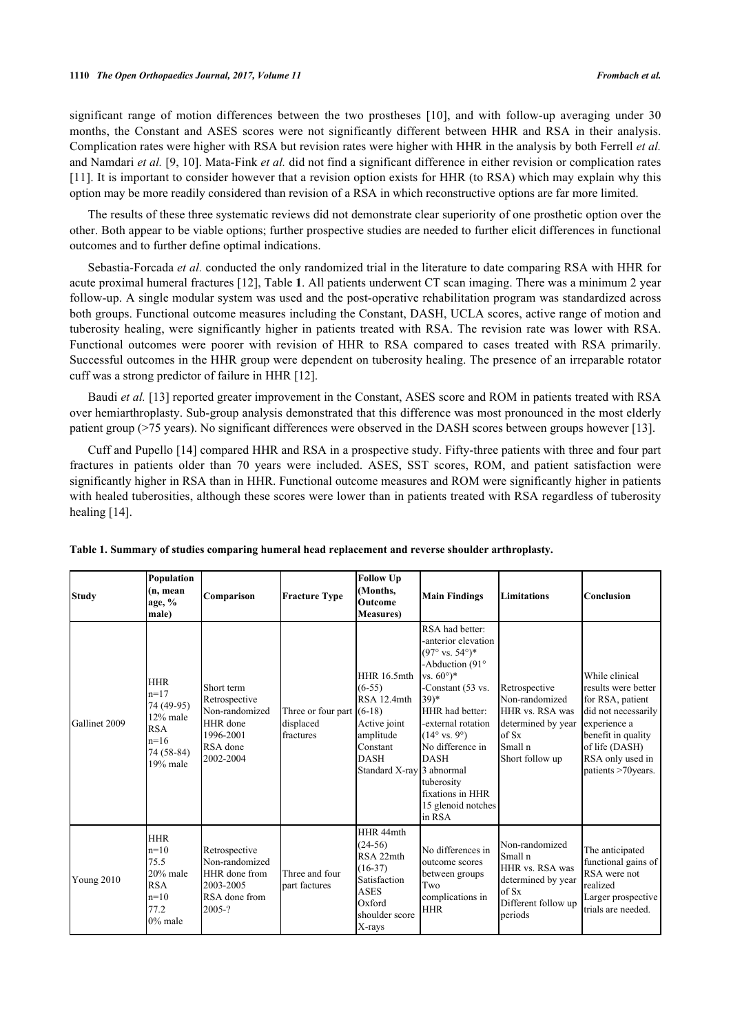significant range of motion differences between the two prostheses[[10\]](#page-6-9), and with follow-up averaging under 30 months, the Constant and ASES scores were not significantly different between HHR and RSA in their analysis. Complication rates were higher with RSA but revision rates were higher with HHR in the analysis by both Ferrell *et al.* and Namdari *et al.* [\[9](#page-6-7), [10\]](#page-6-9). Mata-Fink *et al.* did not find a significant difference in either revision or complication rates [\[11](#page-6-8)]. It is important to consider however that a revision option exists for HHR (to RSA) which may explain why this option may be more readily considered than revision of a RSA in which reconstructive options are far more limited.

The results of these three systematic reviews did not demonstrate clear superiority of one prosthetic option over the other. Both appear to be viable options; further prospective studies are needed to further elicit differences in functional outcomes and to further define optimal indications.

Sebastia-Forcada *et al.* conducted the only randomized trial in the literature to date comparing RSA with HHR for acute proximal humeral fractures [[12\]](#page-6-10), Table **[1](#page-2-0)**. All patients underwent CT scan imaging. There was a minimum 2 year follow-up. A single modular system was used and the post-operative rehabilitation program was standardized across both groups. Functional outcome measures including the Constant, DASH, UCLA scores, active range of motion and tuberosity healing, were significantly higher in patients treated with RSA. The revision rate was lower with RSA. Functional outcomes were poorer with revision of HHR to RSA compared to cases treated with RSA primarily. Successful outcomes in the HHR group were dependent on tuberosity healing. The presence of an irreparable rotator cuff was a strong predictor of failure in HHR [\[12](#page-6-10)].

Baudi *et al.* [[13\]](#page-6-11) reported greater improvement in the Constant, ASES score and ROM in patients treated with RSA over hemiarthroplasty. Sub-group analysis demonstrated that this difference was most pronounced in the most elderly patient group (>75 years). No significant differences were observed in the DASH scores between groups however [\[13](#page-6-11)].

Cuff and Pupello [[14](#page-6-12)] compared HHR and RSA in a prospective study. Fifty-three patients with three and four part fractures in patients older than 70 years were included. ASES, SST scores, ROM, and patient satisfaction were significantly higher in RSA than in HHR. Functional outcome measures and ROM were significantly higher in patients with healed tuberosities, although these scores were lower than in patients treated with RSA regardless of tuberosity healing [[14\]](#page-6-12).

| <b>Study</b>  | Population<br>(n, mean<br>age, %<br>male)                                                          | Comparison                                                                                      | <b>Fracture Type</b>                                  | <b>Follow Up</b><br>(Months,<br><b>Outcome</b><br><b>Measures</b> )                                                                | <b>Main Findings</b>                                                                                                                                                                                                                                                                                                                            | Limitations                                                                                                          | <b>Conclusion</b>                                                                                                                                                                   |
|---------------|----------------------------------------------------------------------------------------------------|-------------------------------------------------------------------------------------------------|-------------------------------------------------------|------------------------------------------------------------------------------------------------------------------------------------|-------------------------------------------------------------------------------------------------------------------------------------------------------------------------------------------------------------------------------------------------------------------------------------------------------------------------------------------------|----------------------------------------------------------------------------------------------------------------------|-------------------------------------------------------------------------------------------------------------------------------------------------------------------------------------|
| Gallinet 2009 | <b>HHR</b><br>$n=17$<br>74 (49-95)<br>12% male<br><b>RSA</b><br>$n=16$<br>74 (58-84)<br>$19%$ male | Short term<br>Retrospective<br>Non-randomized<br>HHR done<br>1996-2001<br>RSA done<br>2002-2004 | Three or four part $(6-18)$<br>displaced<br>fractures | <b>HHR 16.5mth</b><br>$(6-55)$<br>RSA 12.4mth<br>Active joint<br>amplitude<br>Constant<br><b>DASH</b><br>Standard X-ray 3 abnormal | RSA had better:<br>-anterior elevation<br>$(97° \text{ vs. } 54°)*$<br>-Abduction (91°<br>vs. $60^{\circ}$ <sup>*</sup><br>-Constant (53 vs.<br>$(39)^*$<br>HHR had better:<br>-external rotation<br>$(14^{\circ} \text{ vs. } 9^{\circ})$<br>No difference in<br><b>DASH</b><br>tuberosity<br>fixations in HHR<br>15 glenoid notches<br>in RSA | Retrospective<br>Non-randomized<br>HHR vs. RSA was<br>determined by year<br>$\log S_x$<br>Small n<br>Short follow up | While clinical<br>results were better<br>for RSA, patient<br>did not necessarily<br>experience a<br>benefit in quality<br>of life (DASH)<br>RSA only used in<br>patients >70 years. |
| Young 2010    | <b>HHR</b><br>$n=10$<br>75.5<br>20% male<br><b>RSA</b><br>$n=10$<br>77.2<br>$0\%$ male             | Retrospective<br>Non-randomized<br>HHR done from<br>2003-2005<br>RSA done from<br>$2005 - ?$    | Three and four<br>part factures                       | HHR 44mth<br>$(24-56)$<br>RSA 22mth<br>$(16-37)$<br>Satisfaction<br><b>ASES</b><br>Oxford<br>shoulder score<br>X-rays              | No differences in<br>outcome scores<br>between groups<br>Two<br>complications in<br><b>HHR</b>                                                                                                                                                                                                                                                  | Non-randomized<br>Small n<br>HHR vs. RSA was<br>determined by year<br>of Sx<br>Different follow up<br>periods        | The anticipated<br>functional gains of<br>RSA were not<br>realized<br>Larger prospective<br>trials are needed.                                                                      |

<span id="page-2-0"></span>**Table 1. Summary of studies comparing humeral head replacement and reverse shoulder arthroplasty.**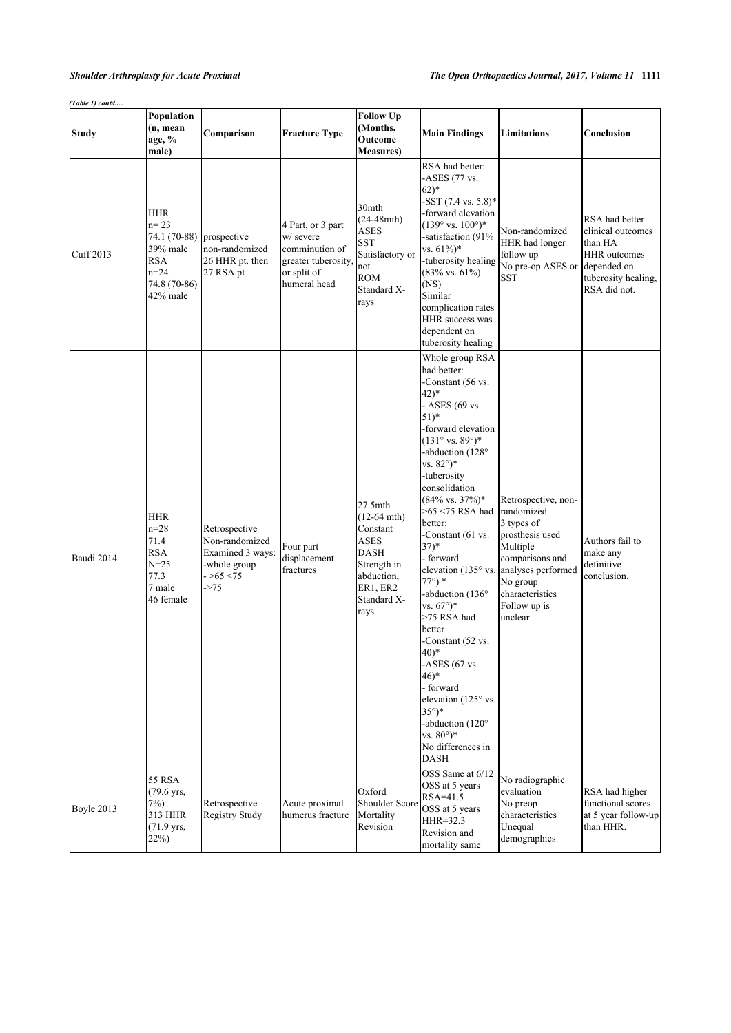| (Table 1) contd |                                                                                                          |                                                                                              |                                                                                                        |                                                                                                                                       |                                                                                                                                                                                                                                                                                                                                                                                                                                                                                                                                                                                                                                                                                                                  |                                                                                                                                                                                   |                                                                                                                             |
|-----------------|----------------------------------------------------------------------------------------------------------|----------------------------------------------------------------------------------------------|--------------------------------------------------------------------------------------------------------|---------------------------------------------------------------------------------------------------------------------------------------|------------------------------------------------------------------------------------------------------------------------------------------------------------------------------------------------------------------------------------------------------------------------------------------------------------------------------------------------------------------------------------------------------------------------------------------------------------------------------------------------------------------------------------------------------------------------------------------------------------------------------------------------------------------------------------------------------------------|-----------------------------------------------------------------------------------------------------------------------------------------------------------------------------------|-----------------------------------------------------------------------------------------------------------------------------|
| <b>Study</b>    | Population<br>(n, mean<br>age, %<br>male)                                                                | Comparison                                                                                   | <b>Fracture Type</b>                                                                                   | <b>Follow Up</b><br>(Months,<br>Outcome<br><b>Measures</b> )                                                                          | <b>Main Findings</b>                                                                                                                                                                                                                                                                                                                                                                                                                                                                                                                                                                                                                                                                                             | <b>Limitations</b>                                                                                                                                                                | Conclusion                                                                                                                  |
| Cuff 2013       | <b>HHR</b><br>$n = 23$<br>74.1 (70-88)<br>39% male<br><b>RSA</b><br>$n = 24$<br>74.8 (70-86)<br>42% male | prospective<br>non-randomized<br>26 HHR pt. then<br>27 RSA pt                                | 4 Part, or 3 part<br>w/ severe<br>comminution of<br>greater tuberosity,<br>or split of<br>humeral head | 30mth<br>$(24-48$ mth $)$<br>ASES<br>SST<br>Satisfactory or<br>not<br><b>ROM</b><br>Standard X-<br>rays                               | RSA had better:<br>-ASES $(77 \text{ vs.}$<br>$62)*$<br>$-$ SST (7.4 vs. 5.8)*<br>-forward elevation<br>$(139° vs. 100°)*$<br>-satisfaction (91%<br>vs. $61\%$ <sup>*</sup><br>-tuberosity healing<br>$(83\% \text{ vs. } 61\%)$<br>(NS)<br>Similar<br>complication rates<br>HHR success was<br>dependent on<br>tuberosity healing                                                                                                                                                                                                                                                                                                                                                                               | Non-randomized<br>HHR had longer<br>follow up<br>No pre-op ASES or<br><b>SST</b>                                                                                                  | RSA had better<br>clinical outcomes<br>than HA<br><b>HHR</b> outcomes<br>depended on<br>tuberosity healing,<br>RSA did not. |
| Baudi 2014      | <b>HHR</b><br>$n=28$<br>71.4<br><b>RSA</b><br>$N = 25$<br>77.3<br>7 male<br>46 female                    | Retrospective<br>Non-randomized<br>Examined 3 ways:<br>-whole group<br>$->65 < 75$<br>$-275$ | Four part<br>displacement<br>fractures                                                                 | $27.5$ mth<br>$(12-64$ mth)<br>Constant<br><b>ASES</b><br><b>DASH</b><br>Strength in<br>abduction,<br>ER1, ER2<br>Standard X-<br>rays | Whole group RSA<br>had better:<br>-Constant (56 vs.<br>$(42)^*$<br>- ASES (69 vs.<br>$51)*$<br>-forward elevation<br>$(131^{\circ} \text{ vs. } 89^{\circ})^*$<br>-abduction (128°<br>vs. $82^{\circ}$ <sup>*</sup><br>-tuberosity<br>consolidation<br>$(84\% \text{ vs. } 37\%)*$<br>$>65$ <75 RSA had<br>better:<br>-Constant (61 vs.<br>$(37)^*$<br>- forward<br>elevation (135° vs.<br>$77^{\circ}$ ) *<br>-abduction (136°<br>vs. $67^{\circ}$ <sup>*</sup><br>>75 RSA had<br>better<br>-Constant (52 vs.<br>$(40)*$<br>-ASES $(67$ vs.<br>$(46)^*$<br>- forward<br>elevation (125° vs.<br>$35^\circ$ <sup>*</sup><br>-abduction (120°<br>vs. $80^{\circ}$ <sup>*</sup><br>No differences in<br><b>DASH</b> | Retrospective, non-<br>randomized<br>3 types of<br>prosthesis used<br>Multiple<br>comparisons and<br>analyses performed<br>No group<br>characteristics<br>Follow up is<br>unclear | Authors fail to<br>make any<br>definitive<br>conclusion.                                                                    |
| Boyle 2013      | 55 RSA<br>$(79.6 \text{ yrs.})$<br>$7\%$ )<br>313 HHR<br>$(71.9 \text{ yrs},$<br>$22\%)$                 | Retrospective<br>Registry Study                                                              | Acute proximal<br>humerus fracture                                                                     | Oxford<br>Shoulder Score<br>Mortality<br>Revision                                                                                     | OSS Same at 6/12<br>OSS at 5 years<br>$RSA=41.5$<br>OSS at 5 years<br>HHR=32.3<br>Revision and<br>mortality same                                                                                                                                                                                                                                                                                                                                                                                                                                                                                                                                                                                                 | No radiographic<br>evaluation<br>No preop<br>characteristics<br>Unequal<br>demographics                                                                                           | RSA had higher<br>functional scores<br>at 5 year follow-up<br>than HHR.                                                     |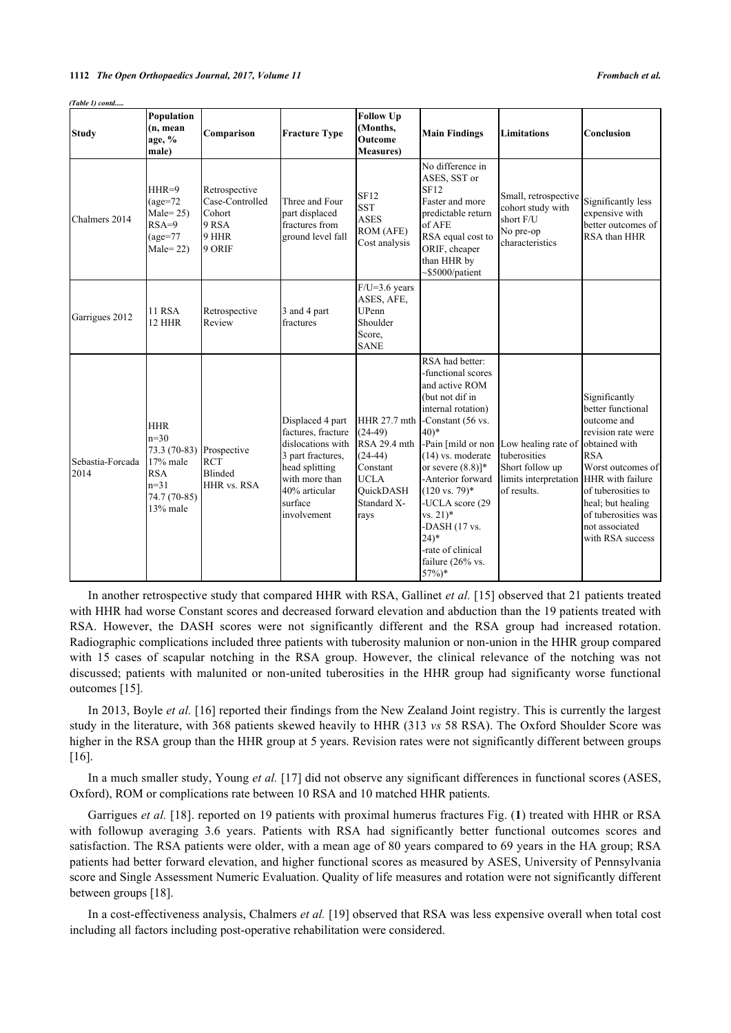*(Table 1) contd.....*

| <b>Study</b>             | Population<br>(n, mean<br>age, %<br>male)                                                            | Comparison                                                             | <b>Fracture Type</b>                                                                                                                                            | <b>Follow Up</b><br>(Months,<br>Outcome<br><b>Measures</b> )                                                                 | <b>Main Findings</b>                                                                                                                                                                                                                                                                                                                                                                 | Limitations                                                                                                                   | Conclusion                                                                                                                                                                                                         |
|--------------------------|------------------------------------------------------------------------------------------------------|------------------------------------------------------------------------|-----------------------------------------------------------------------------------------------------------------------------------------------------------------|------------------------------------------------------------------------------------------------------------------------------|--------------------------------------------------------------------------------------------------------------------------------------------------------------------------------------------------------------------------------------------------------------------------------------------------------------------------------------------------------------------------------------|-------------------------------------------------------------------------------------------------------------------------------|--------------------------------------------------------------------------------------------------------------------------------------------------------------------------------------------------------------------|
| Chalmers 2014            | $HHR=9$<br>$\text{(age=72)}$<br>$Male = 25$<br>$RSA=9$<br>$(age=77)$<br>$Male = 22)$                 | Retrospective<br>Case-Controlled<br>Cohort<br>9 RSA<br>9 HHR<br>9 ORIF | Three and Four<br>part displaced<br>fractures from<br>ground level fall                                                                                         | SF12<br><b>SST</b><br><b>ASES</b><br>ROM (AFE)<br>Cost analysis                                                              | No difference in<br>ASES, SST or<br><b>SF12</b><br>Faster and more<br>predictable return<br>of AFE<br>RSA equal cost to<br>ORIF, cheaper<br>than HHR by<br>$\sim$ \$5000/patient                                                                                                                                                                                                     | Small, retrospective<br>cohort study with<br>short F/U<br>No pre-op<br>characteristics                                        | Significantly less<br>expensive with<br>better outcomes of<br>RSA than HHR                                                                                                                                         |
| Garrigues 2012           | <b>11 RSA</b><br>12 HHR                                                                              | Retrospective<br>Review                                                | 3 and 4 part<br>fractures                                                                                                                                       | $F/U=3.6$ years<br>ASES, AFE,<br>UPenn<br>Shoulder<br>Score,<br><b>SANE</b>                                                  |                                                                                                                                                                                                                                                                                                                                                                                      |                                                                                                                               |                                                                                                                                                                                                                    |
| Sebastia-Forcada<br>2014 | <b>HHR</b><br>$n=30$<br>73.3 (70-83)<br>17% male<br><b>RSA</b><br>$n=31$<br>74.7 (70-85)<br>13% male | Prospective<br><b>RCT</b><br>Blinded<br>HHR vs. RSA                    | Displaced 4 part<br>factures, fracture<br>dislocations with<br>3 part fractures,<br>head splitting<br>with more than<br>40% articular<br>surface<br>involvement | HHR 27.7 mth<br>$(24-49)$<br>RSA 29.4 mth<br>$(24-44)$<br>Constant<br><b>UCLA</b><br><b>OuickDASH</b><br>Standard X-<br>rays | RSA had better:<br>-functional scores<br>and active ROM<br>(but not dif in<br>internal rotation)<br>-Constant (56 vs.<br>$(40)*$<br>-Pain [mild or non<br>$(14)$ vs. moderate<br>or severe $(8.8)$ <sup>*</sup><br>-Anterior forward<br>$(120 \text{ vs. } 79)^*$<br>-UCLA score (29<br>$vs. 21)*$<br>-DASH $(17$ vs.<br>$24)*$<br>-rate of clinical<br>failure (26% vs.<br>$57\%)*$ | Low healing rate of obtained with<br>tuberosities<br>Short follow up<br>limits interpretation HHR with failure<br>of results. | Significantly<br>better functional<br>outcome and<br>revision rate were<br><b>RSA</b><br>Worst outcomes of<br>of tuberosities to<br>heal; but healing<br>of tuberosities was<br>not associated<br>with RSA success |

In another retrospective study that compared HHR with RSA, Gallinet *et al.* [[15\]](#page-6-13) observed that 21 patients treated with HHR had worse Constant scores and decreased forward elevation and abduction than the 19 patients treated with RSA. However, the DASH scores were not significantly different and the RSA group had increased rotation. Radiographic complications included three patients with tuberosity malunion or non-union in the HHR group compared with 15 cases of scapular notching in the RSA group. However, the clinical relevance of the notching was not discussed; patients with malunited or non-united tuberosities in the HHR group had significanty worse functional outcomes [[15\]](#page-6-13).

In 2013, Boyle *et al.* [\[16](#page-6-14)] reported their findings from the New Zealand Joint registry. This is currently the largest study in the literature, with 368 patients skewed heavily to HHR (313 *vs* 58 RSA). The Oxford Shoulder Score was higher in the RSA group than the HHR group at 5 years. Revision rates were not significantly different between groups [\[16](#page-6-14)].

In a much smaller study, Young *et al.* [\[17](#page-6-15)] did not observe any significant differences in functional scores (ASES, Oxford), ROM or complications rate between 10 RSA and 10 matched HHR patients.

Garrigues *et al.* [\[18](#page-6-16)]. reported on 19 patients with proximal humerus fractures Fig. (**[1](#page-5-1)**) treated with HHR or RSA with followup averaging 3.6 years. Patients with RSA had significantly better functional outcomes scores and satisfaction. The RSA patients were older, with a mean age of 80 years compared to 69 years in the HA group; RSA patients had better forward elevation, and higher functional scores as measured by ASES, University of Pennsylvania score and Single Assessment Numeric Evaluation. Quality of life measures and rotation were not significantly different between groups [[18\]](#page-6-16).

In a cost-effectiveness analysis, Chalmers *et al.* [\[19](#page-6-17)] observed that RSA was less expensive overall when total cost including all factors including post-operative rehabilitation were considered.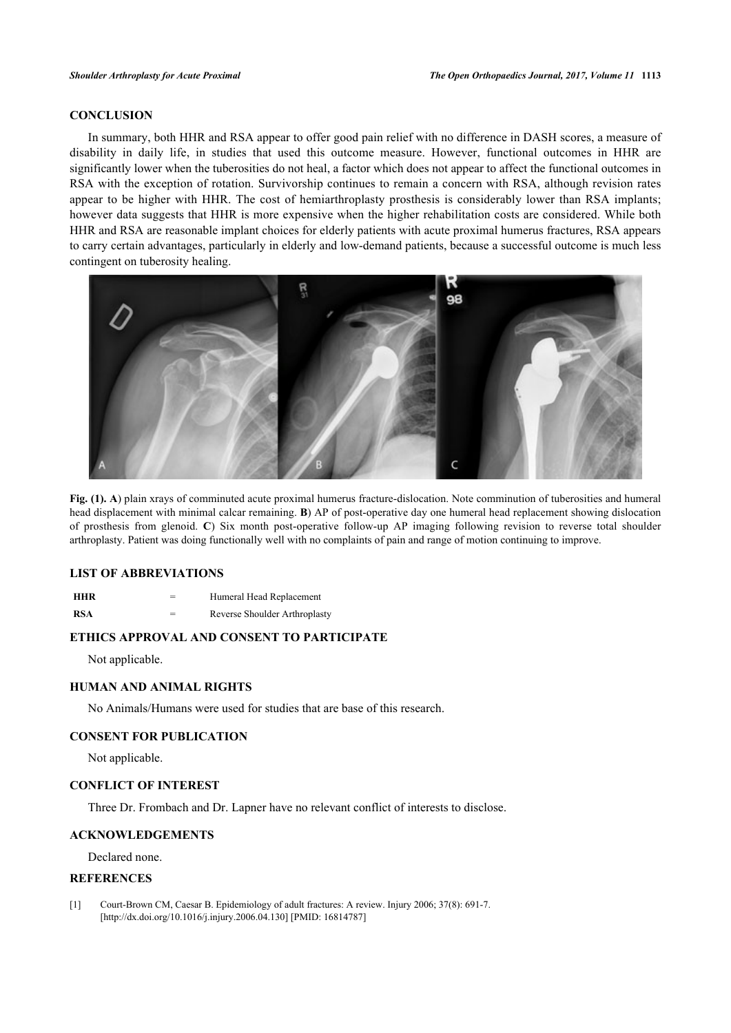# **CONCLUSION**

In summary, both HHR and RSA appear to offer good pain relief with no difference in DASH scores, a measure of disability in daily life, in studies that used this outcome measure. However, functional outcomes in HHR are significantly lower when the tuberosities do not heal, a factor which does not appear to affect the functional outcomes in RSA with the exception of rotation. Survivorship continues to remain a concern with RSA, although revision rates appear to be higher with HHR. The cost of hemiarthroplasty prosthesis is considerably lower than RSA implants; however data suggests that HHR is more expensive when the higher rehabilitation costs are considered. While both HHR and RSA are reasonable implant choices for elderly patients with acute proximal humerus fractures, RSA appears to carry certain advantages, particularly in elderly and low-demand patients, because a successful outcome is much less contingent on tuberosity healing.

<span id="page-5-1"></span>

**Fig. (1). A**) plain xrays of comminuted acute proximal humerus fracture-dislocation. Note comminution of tuberosities and humeral head displacement with minimal calcar remaining. **B**) AP of post-operative day one humeral head replacement showing dislocation of prosthesis from glenoid. **C**) Six month post-operative follow-up AP imaging following revision to reverse total shoulder arthroplasty. Patient was doing functionally well with no complaints of pain and range of motion continuing to improve.

# **LIST OF ABBREVIATIONS**

**HHR** = Humeral Head Replacement

**RSA** = Reverse Shoulder Arthroplasty

# **ETHICS APPROVAL AND CONSENT TO PARTICIPATE**

Not applicable.

# **HUMAN AND ANIMAL RIGHTS**

No Animals/Humans were used for studies that are base of this research.

### **CONSENT FOR PUBLICATION**

Not applicable.

# **CONFLICT OF INTEREST**

Three Dr. Frombach and Dr. Lapner have no relevant conflict of interests to disclose.

# **ACKNOWLEDGEMENTS**

Declared none.

# **REFERENCES**

<span id="page-5-0"></span>[1] Court-Brown CM, Caesar B. Epidemiology of adult fractures: A review. Injury 2006; 37(8): 691-7. [\[http://dx.doi.org/10.1016/j.injury.2006.04.130](http://dx.doi.org/10.1016/j.injury.2006.04.130)] [PMID: [16814787\]](http://www.ncbi.nlm.nih.gov/pubmed/16814787)